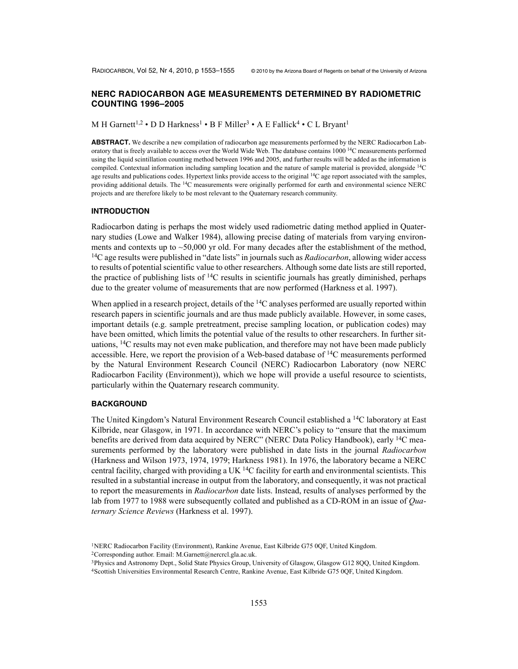# **NERC RADIOCARBON AGE MEASUREMENTS DETERMINED BY RADIOMETRIC COUNTING 1996–2005**

### M H Garnett<sup>1,2</sup> • D D Harkness<sup>1</sup> • B F Miller<sup>3</sup> • A E Fallick<sup>4</sup> • C L Bryant<sup>1</sup>

**ABSTRACT.** We describe a new compilation of radiocarbon age measurements performed by the NERC Radiocarbon Laboratory that is freely available to access over the World Wide Web. The database contains 1000 14C measurements performed using the liquid scintillation counting method between 1996 and 2005, and further results will be added as the information is compiled. Contextual information including sampling location and the nature of sample material is provided, alongside <sup>14</sup>C age results and publications codes. Hypertext links provide access to the original  $14C$  age report associated with the samples, providing additional details. The 14C measurements were originally performed for earth and environmental science NERC projects and are therefore likely to be most relevant to the Quaternary research community.

#### **INTRODUCTION**

Radiocarbon dating is perhaps the most widely used radiometric dating method applied in Quaternary studies (Lowe and Walker 1984), allowing precise dating of materials from varying environments and contexts up to  $\sim$  50,000 yr old. For many decades after the establishment of the method, 14C age results were published in "date lists" in journals such as *Radiocarbon*, allowing wider access to results of potential scientific value to other researchers. Although some date lists are still reported, the practice of publishing lists of  ${}^{14}C$  results in scientific journals has greatly diminished, perhaps due to the greater volume of measurements that are now performed (Harkness et al. 1997).

When applied in a research project, details of the <sup>14</sup>C analyses performed are usually reported within research papers in scientific journals and are thus made publicly available. However, in some cases, important details (e.g. sample pretreatment, precise sampling location, or publication codes) may have been omitted, which limits the potential value of the results to other researchers. In further situations, 14C results may not even make publication, and therefore may not have been made publicly accessible. Here, we report the provision of a Web-based database of  $^{14}C$  measurements performed by the Natural Environment Research Council (NERC) Radiocarbon Laboratory (now NERC Radiocarbon Facility (Environment)), which we hope will provide a useful resource to scientists, particularly within the Quaternary research community.

# **BACKGROUND**

The United Kingdom's Natural Environment Research Council established a 14C laboratory at East Kilbride, near Glasgow, in 1971. In accordance with NERC's policy to "ensure that the maximum benefits are derived from data acquired by NERC" (NERC Data Policy Handbook), early <sup>14</sup>C measurements performed by the laboratory were published in date lists in the journal *Radiocarbon* (Harkness and Wilson 1973, 1974, 1979; Harkness 1981). In 1976, the laboratory became a NERC central facility, charged with providing a UK  $^{14}$ C facility for earth and environmental scientists. This resulted in a substantial increase in output from the laboratory, and consequently, it was not practical to report the measurements in *Radiocarbon* date lists. Instead, results of analyses performed by the lab from 1977 to 1988 were subsequently collated and published as a CD-ROM in an issue of *Quaternary Science Reviews* (Harkness et al. 1997).

2Corresponding author. Email: M.Garnett@nercrcl.gla.ac.uk.

<sup>1</sup>NERC Radiocarbon Facility (Environment), Rankine Avenue, East Kilbride G75 0QF, United Kingdom.

<sup>3</sup>Physics and Astronomy Dept., Solid State Physics Group, University of Glasgow, Glasgow G12 8QQ, United Kingdom. 4Scottish Universities Environmental Research Centre, Rankine Avenue, East Kilbride G75 0QF, United Kingdom.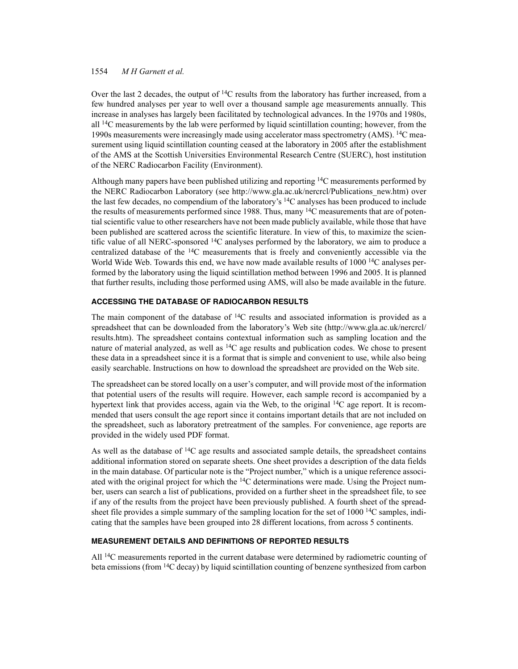### 1554 *M H Garnett et al.*

Over the last 2 decades, the output of  ${}^{14}C$  results from the laboratory has further increased, from a few hundred analyses per year to well over a thousand sample age measurements annually. This increase in analyses has largely been facilitated by technological advances. In the 1970s and 1980s, all  $^{14}$ C measurements by the lab were performed by liquid scintillation counting; however, from the 1990s measurements were increasingly made using accelerator mass spectrometry (AMS). 14C measurement using liquid scintillation counting ceased at the laboratory in 2005 after the establishment of the AMS at the Scottish Universities Environmental Research Centre (SUERC), host institution of the NERC Radiocarbon Facility (Environment).

Although many papers have been published utilizing and reporting  $14C$  measurements performed by the NERC Radiocarbon Laboratory (see http://www.gla.ac.uk/nercrcl/Publications\_new.htm) over the last few decades, no compendium of the laboratory's 14C analyses has been produced to include the results of measurements performed since 1988. Thus, many  $14C$  measurements that are of potential scientific value to other researchers have not been made publicly available, while those that have been published are scattered across the scientific literature. In view of this, to maximize the scientific value of all NERC-sponsored  $^{14}$ C analyses performed by the laboratory, we aim to produce a centralized database of the  ${}^{14}C$  measurements that is freely and conveniently accessible via the World Wide Web. Towards this end, we have now made available results of  $1000<sup>14</sup>C$  analyses performed by the laboratory using the liquid scintillation method between 1996 and 2005. It is planned that further results, including those performed using AMS, will also be made available in the future.

# **ACCESSING THE DATABASE OF RADIOCARBON RESULTS**

The main component of the database of  $14C$  results and associated information is provided as a spreadsheet that can be downloaded from the laboratory's Web site (http://www.gla.ac.uk/nercrcl/ results.htm). The spreadsheet contains contextual information such as sampling location and the nature of material analyzed, as well as  $^{14}C$  age results and publication codes. We chose to present these data in a spreadsheet since it is a format that is simple and convenient to use, while also being easily searchable. Instructions on how to download the spreadsheet are provided on the Web site.

The spreadsheet can be stored locally on a user's computer, and will provide most of the information that potential users of the results will require. However, each sample record is accompanied by a hypertext link that provides access, again via the Web, to the original <sup>14</sup>C age report. It is recommended that users consult the age report since it contains important details that are not included on the spreadsheet, such as laboratory pretreatment of the samples. For convenience, age reports are provided in the widely used PDF format.

As well as the database of  $14C$  age results and associated sample details, the spreadsheet contains additional information stored on separate sheets. One sheet provides a description of the data fields in the main database. Of particular note is the "Project number," which is a unique reference associated with the original project for which the <sup>14</sup>C determinations were made. Using the Project number, users can search a list of publications, provided on a further sheet in the spreadsheet file, to see if any of the results from the project have been previously published. A fourth sheet of the spreadsheet file provides a simple summary of the sampling location for the set of  $1000$  <sup>14</sup>C samples, indicating that the samples have been grouped into 28 different locations, from across 5 continents.

# **MEASUREMENT DETAILS AND DEFINITIONS OF REPORTED RESULTS**

All <sup>14</sup>C measurements reported in the current database were determined by radiometric counting of beta emissions (from 14C decay) by liquid scintillation counting of benzene synthesized from carbon